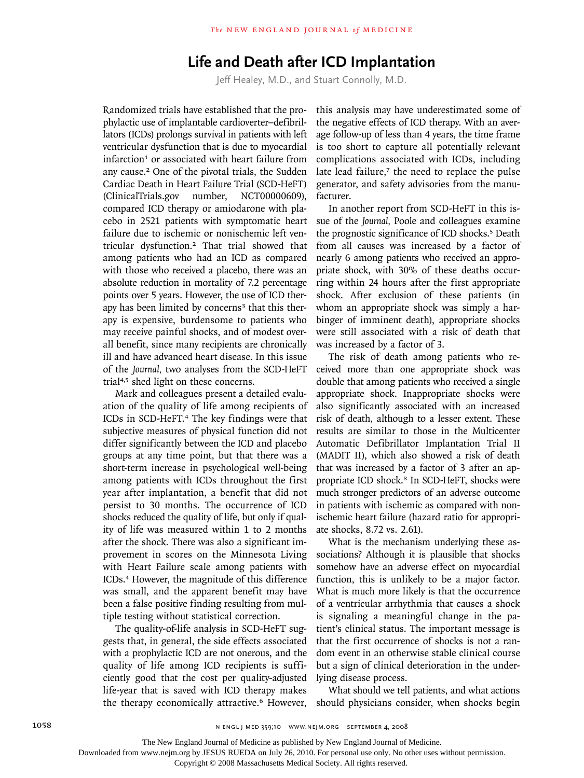## **Life and Death after ICD Implantation**

Jeff Healey, M.D., and Stuart Connolly, M.D.

Randomized trials have established that the prophylactic use of implantable cardioverter–defibrillators (ICDs) prolongs survival in patients with left ventricular dysfunction that is due to myocardial infarction<sup>1</sup> or associated with heart failure from any cause.2 One of the pivotal trials, the Sudden Cardiac Death in Heart Failure Trial (SCD-HeFT) (ClinicalTrials.gov number, NCT00000609), compared ICD therapy or amiodarone with placebo in 2521 patients with symptomatic heart failure due to ischemic or nonischemic left ventricular dysfunction.2 That trial showed that among patients who had an ICD as compared with those who received a placebo, there was an absolute reduction in mortality of 7.2 percentage points over 5 years. However, the use of ICD therapy has been limited by concerns<sup>3</sup> that this therapy is expensive, burdensome to patients who may receive painful shocks, and of modest overall benefit, since many recipients are chronically ill and have advanced heart disease. In this issue of the *Journal,* two analyses from the SCD-HeFT trial4,5 shed light on these concerns.

Mark and colleagues present a detailed evaluation of the quality of life among recipients of ICDs in SCD-HeFT.<sup>4</sup> The key findings were that subjective measures of physical function did not differ significantly between the ICD and placebo groups at any time point, but that there was a short-term increase in psychological well-being among patients with ICDs throughout the first year after implantation, a benefit that did not persist to 30 months. The occurrence of ICD shocks reduced the quality of life, but only if quality of life was measured within 1 to 2 months after the shock. There was also a significant improvement in scores on the Minnesota Living with Heart Failure scale among patients with ICDs.4 However, the magnitude of this difference was small, and the apparent benefit may have been a false positive finding resulting from multiple testing without statistical correction.

The quality-of-life analysis in SCD-HeFT suggests that, in general, the side effects associated with a prophylactic ICD are not onerous, and the quality of life among ICD recipients is sufficiently good that the cost per quality-adjusted life-year that is saved with ICD therapy makes the therapy economically attractive.<sup>6</sup> However,

this analysis may have underestimated some of the negative effects of ICD therapy. With an average follow-up of less than 4 years, the time frame is too short to capture all potentially relevant complications associated with ICDs, including late lead failure,7 the need to replace the pulse generator, and safety advisories from the manufacturer.

In another report from SCD-HeFT in this issue of the *Journal,* Poole and colleagues examine the prognostic significance of ICD shocks.<sup>5</sup> Death from all causes was increased by a factor of nearly 6 among patients who received an appropriate shock, with 30% of these deaths occurring within 24 hours after the first appropriate shock. After exclusion of these patients (in whom an appropriate shock was simply a harbinger of imminent death), appropriate shocks were still associated with a risk of death that was increased by a factor of 3.

The risk of death among patients who received more than one appropriate shock was double that among patients who received a single appropriate shock. Inappropriate shocks were also significantly associated with an increased risk of death, although to a lesser extent. These results are similar to those in the Multicenter Automatic Defibrillator Implantation Trial II (MADIT II), which also showed a risk of death that was increased by a factor of 3 after an appropriate ICD shock.<sup>8</sup> In SCD-HeFT, shocks were much stronger predictors of an adverse outcome in patients with ischemic as compared with nonischemic heart failure (hazard ratio for appropriate shocks, 8.72 vs. 2.61).

What is the mechanism underlying these associations? Although it is plausible that shocks somehow have an adverse effect on myocardial function, this is unlikely to be a major factor. What is much more likely is that the occurrence of a ventricular arrhythmia that causes a shock is signaling a meaningful change in the patient's clinical status. The important message is that the first occurrence of shocks is not a random event in an otherwise stable clinical course but a sign of clinical deterioration in the underlying disease process.

What should we tell patients, and what actions should physicians consider, when shocks begin

The New England Journal of Medicine as published by New England Journal of Medicine.

Downloaded from www.nejm.org by JESUS RUEDA on July 26, 2010. For personal use only. No other uses without permission.

Copyright © 2008 Massachusetts Medical Society. All rights reserved.